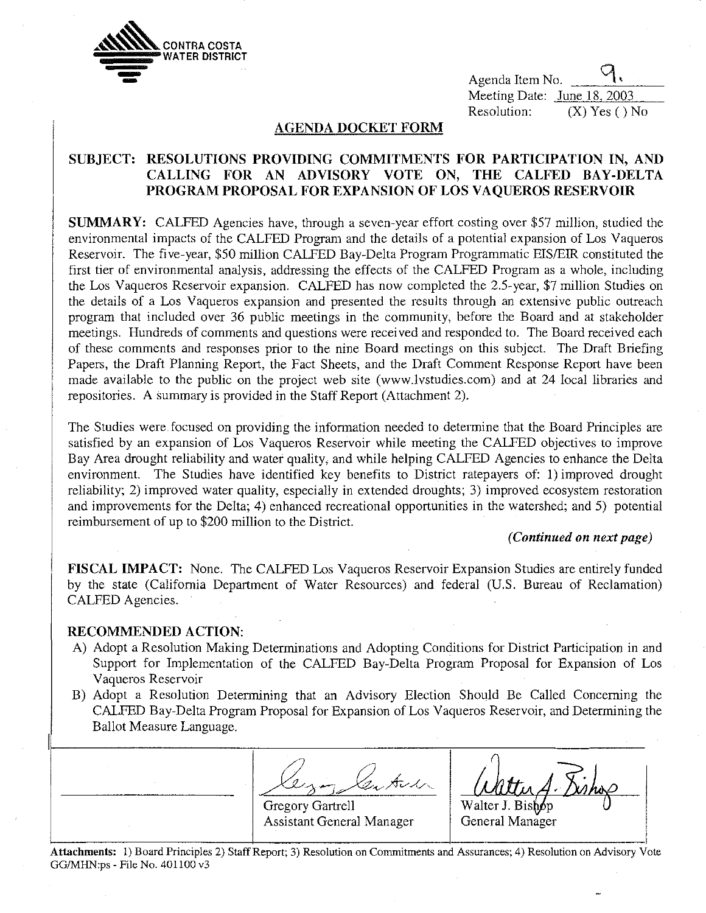

 Agenda Item No. Meeting Date: June 18, 2003 Resolution: (X) Yes () No

## **AGENDA DOCKET FORM**

# **SUBJECT: RESOLUTIONS PROVIDING COMMITMENTS FOR PARTICIPATION IN, AND CALLING FOR AN ADVISORY VOTE ON, THE CALFED BAY-DELTA PROGRAM PROPOSAL FOR EXPANSION OF LOS VAQUEROS RESERVOIR**

**SUMMARY:** CALFED Agencies have, through a seven-year effort costing over \$57 million, studied the environmental impacts of the CALFED Program and the details of a potential expansion of Los Vaqueros Reservoir. The five-year, \$50 million CALFED Bay-Delta Program Programmatic EIS/EIR constituted the first tier of environmental analysis, addressing the effects of the CALFED Program as a whole, including the Los Vaqueros Reservoir expansion. CALFED has now completed the 2.5-year, \$7 million Studies on the details of a Los Vaqueros expansion and presented the results through an extensive public outreach program that included over 36 public meetings in the community, before the Board and at stakeholder meetings. Hundreds of comments and questions were received and responded to. The Board received each of these comments and responses prior to the nine Board meetings on this subject. The Draft Briefing Papers, the Draft Planning Report, the Fact Sheets, and the Draft Comment Response Report have been made available to the public on the project web site (www.lvstudies.com) and at 24 local libraries and repositories. A summary is provided in the Staff Report (Attachment 2).

The Studies were focused on providing the information needed to determine that the Board Principles are satisfied by an expansion of Los Vaqueros Reservoir while meeting the CALFED objectives to improve Bay Area drought reliability and water quality, and while helping CALFED Agencies to enhance the Delta environment. The Studies have identified key benefits to District ratepayers of: 1) improved drought reliability; 2) improved water quality, especially in extended droughts; 3) improved ecosystem restoration and improvements for the Delta; 4) enhanced recreational opportunities in the watershed; and 5) potential reimbursement of up to \$200 million to the District.

## *(Continued on next page)*

**FISCAL IMPACT:** None. The CALFED Los Vaqueros Reservoir Expansion Studies are entirely funded by the state (California Department of Water Resources) and federal (U.S. Bureau of Reclamation) CALFED Agencies.

## **RECOMMENDED ACTION:**

- A) Adopt a Resolution Making Determinations and Adopting Conditions for District Participation in and Support for Implementation of the CALFED Bay-Delta Program Proposal for Expansion of Los Vaqueros Reservoir
- B) Adopt a Resolution Determining that an Advisory Election Should Be Called Concerning the CALFED Bay-Delta Program Proposal for Expansion of Los Vaqueros Reservoir, and Determining the Ballot Measure Language.

 $A$  $V$ Gregory Gartrell Assistant General Manager p General Manager

**Attachments:** 1) Board Principles 2) Staff Report; 3) Resolution on Commitments and Assurances; 4) Resolution on Advisory Vote GG/MHN:ps - File No. 401100 v3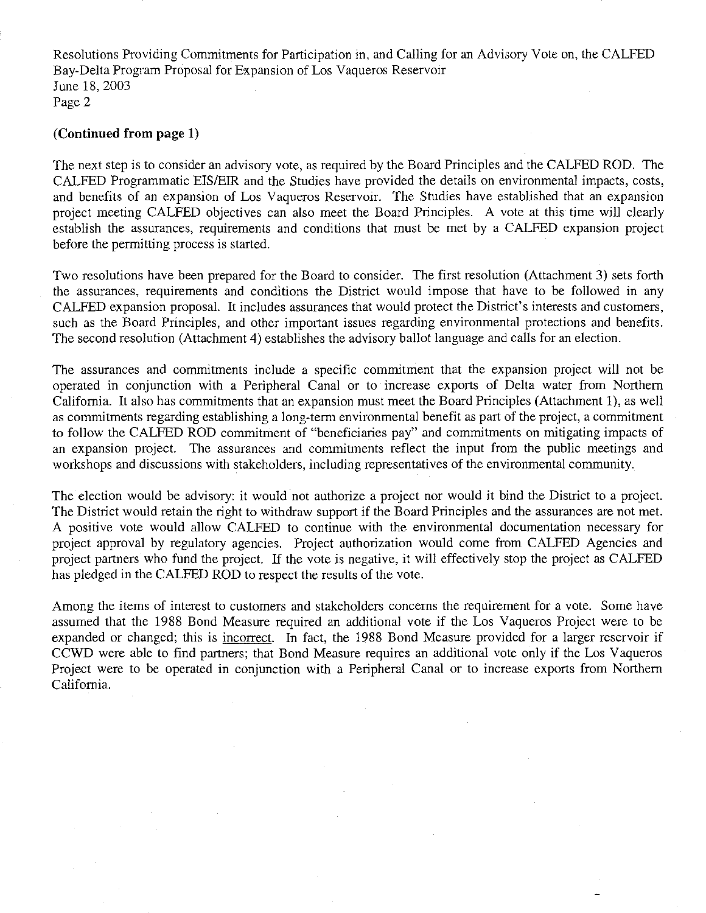Resolutions Providing Commitments for Participation in, and Calling for an Advisory Vote on, the CALFED Bay-Delta Program Proposal for Expansion of Los Vaqueros Reservoir June 18, 2003 Page 2

## **(Continued from page 1)**

The next step is to consider an advisory vote, as required by the Board Principles and the CALFED ROD. The CALFED Programmatic EIS/EIR and the Studies have provided the details on environmental impacts, costs, and benefits of an expansion of Los Vaqueros Reservoir. The Studies have established that an expansion project meeting CALFED objectives can also meet the Board Principles. A vote at this time will clearly establish the assurances, requirements and conditions that must be met by a CALFED expansion project before the permitting process is started.

Two resolutions have been prepared for the Board to consider. The first resolution (Attachment 3) sets forth the assurances, requirements and conditions the District would impose that have to be followed in any CALFED expansion proposal. It includes assurances that would protect the District's interests and customers, such as the Board Principles, and other important issues regarding environmental protections and benefits. The second resolution (Attachment 4) establishes the advisory ballot language and calls for an election.

The assurances and commitments include a specific commitment that the expansion project will not be operated in conjunction with a Peripheral Canal or to increase exports of Delta water from Northern California. It also has commitments that an expansion must meet the Board Principles (Attachment 1), as well as commitments regarding establishing a long-term environmental benefit as part of the project, a commitment to follow the CALFED ROD commitment of "beneficiaries pay" and commitments on mitigating impacts of an expansion project. The assurances and commitments reflect the input from the public meetings and workshops and discussions with stakeholders, including representatives of the environmental community.

The election would be advisory: it would not authorize a project nor would it bind the District to a project. The District would retain the right to withdraw support if the Board Principles and the assurances are not met. A positive vote would allow CALFED to continue with the environmental documentation necessary for project approval by regulatory agencies. Project authorization would come from CALFED Agencies and project partners who fund the project. If the vote is negative, it will effectively stop the project as CALFED has pledged in the CALFED ROD to respect the results of the vote.

Among the items of interest to customers and stakeholders concerns the requirement for a vote. Some have assumed that the 1988 Bond Measure required an additional vote if the Los Vaqueros Project were to be expanded or changed; this is incorrect. In fact, the 1988 Bond Measure provided for a larger reservoir if CCWD were able to find partners; that Bond Measure requires an additional vote only if the Los Vaqueros Project were to be operated in conjunction with a Peripheral Canal or to increase exports from Northern California.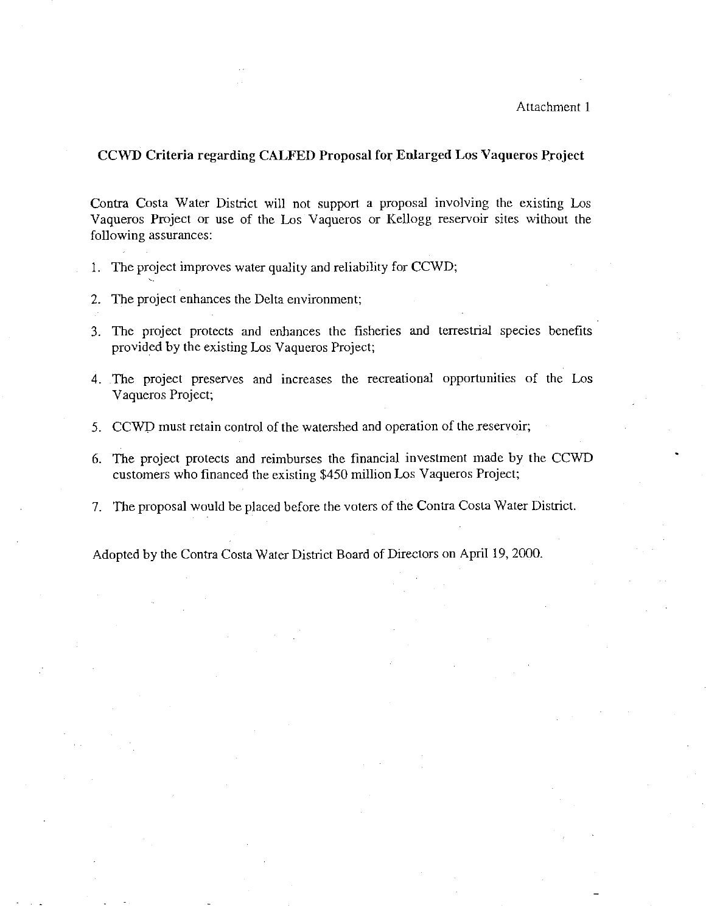### **CCWD Criteria regarding CALFED Proposal for Enlarged Los Vaqueros Project**

Contra Costa Water District will not support a proposal involving the existing Los Vaqueros Project or use of the Los Vaqueros or Kellogg reservoir sites without the following assurances:

- 1. The project improves water quality and reliability for CCWD;
- 2. The project enhances the Delta environment;
- 3. The project protects and enhances the fisheries and terrestrial species benefits provided by the existing Los Vaqueros Project;
- 4. The project preserves and increases the recreational opportunities of the Los Vaqueros Project;
- 5. CCWD must retain control of the watershed and operation of the reservoir;
- 6. The project protects and reimburses the financial investment made by the CCWD customers who financed the existing \$450 million Los Vaqueros Project;
- 7. The proposal would be placed before the voters of the Contra Costa Water District.

Adopted by the Contra Costa Water District Board of Directors on April 19, 2000.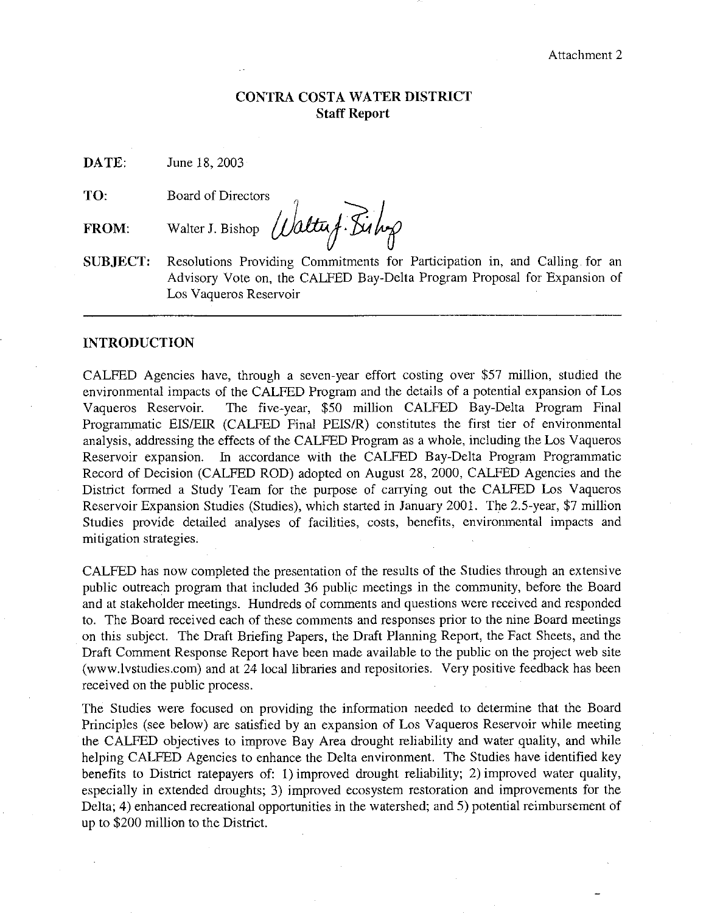## **CONTRA COSTA WATER DISTRICT Staff Report**

**DATE:**  June 18, 2003

**TO:**  Board of Directors

**FROM:**  Walter J. Bishop *Waltuf. Bishop* 

**SUBJECT:**  Resolutions Providing Commitments for Participation in, and Calling for an Advisory Vote on, the CALFED Bay-Delta Program Proposal for Expansion of Los Vaqueros Reservoir

## **INTRODUCTION**

CALFED Agencies have, through a seven-year effort costing over \$57 million, studied the environmental impacts of the CALFED Program and the details of a potential expansion of Los Vaqueros Reservoir. The five-year, \$50 million CALFED Bay-Delta Program Final Programmatic EIS/EIR (CALFED Final PEIS/R) constitutes the first tier of environmental analysis, addressing the effects of the CALFED Program as a whole, including the Los Vaqueros Reservoir expansion. In accordance with the CALFED Bay-Delta Program Programmatic Record of Decision (CALFED ROD) adopted on August 28, 2000, CALFED Agencies and the District formed a Study Team for the purpose of carrying out the CALFED Los Vaqueros Reservoir Expansion Studies (Studies), which started in January 2001. The 2.5-year, \$7 million Studies provide detailed analyses of facilities, costs, benefits, environmental impacts and mitigation strategies.

CALFED has now completed the presentation of the results of the Studies through an extensive public outreach program that included 36 public meetings in the community, before the Board and at stakeholder meetings. Hundreds of comments and questions were received and responded to. The Board received each of these comments and responses prior to the nine Board meetings on this subject. The Draft Briefing Papers, the Draft Planning Report, the Fact Sheets, and the Draft Comment Response Report have been made available to the public on the project web site (www.lvstudies.com) and at 24 local libraries and repositories. Very positive feedback has been received on the public process.

The Studies were focused on providing the information needed to determine that the Board Principles (see below) are satisfied by an expansion of Los Vaqueros Reservoir while meeting the CALFED objectives to improve Bay Area drought reliability and water quality, and while helping CALFED Agencies to enhance the Delta environment. The Studies have identified key benefits to District ratepayers of: 1) improved drought reliability; 2) improved water quality, especially in extended droughts; 3) improved ecosystem restoration and improvements for the Delta; 4) enhanced recreational opportunities in the watershed; and 5) potential reimbursement of up to \$200 million to the District.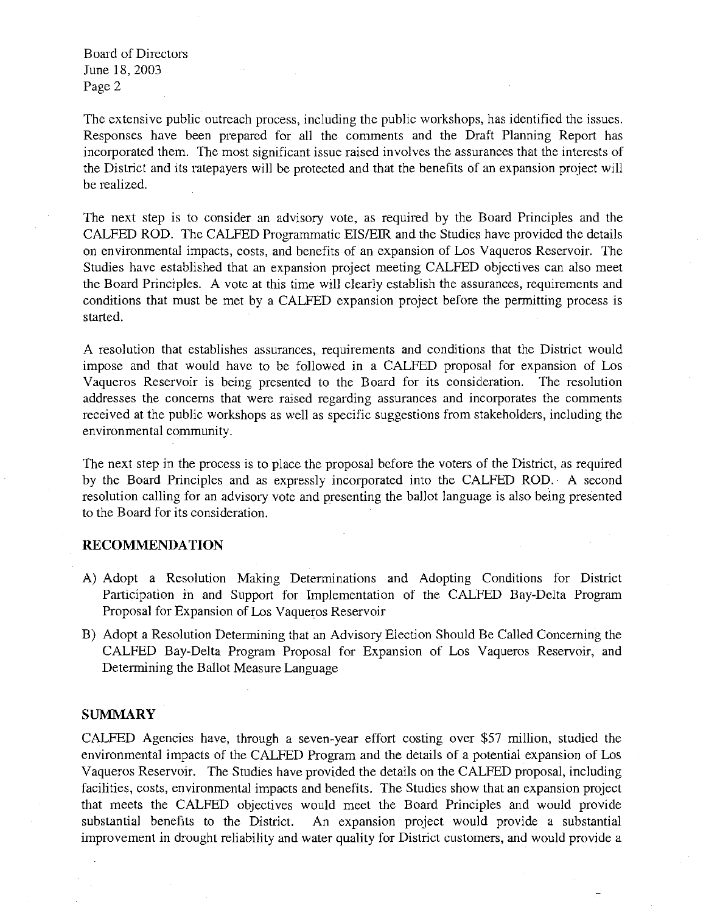The extensive public outreach process, including the public workshops, has identified the issues. Responses have been prepared for all the comments and the Draft Planning Report has incorporated them. The most significant issue raised involves the assurances that the interests of the District and its ratepayers will be protected and that the benefits of an expansion project will be realized.

The next step is to consider an advisory vote, as required by the Board Principles and the CALFED ROD. The CALFED Programmatic EIS/EIR and the Studies have provided the details on environmental impacts, costs, and benefits of an expansion of Los Vaqueros Reservoir. The Studies have established that an expansion project meeting CALFED objectives can also meet the Board Principles. A vote at this time will clearly establish the assurances, requirements and conditions that must be met by a CALFED expansion project before the permitting process is started.

A resolution that establishes assurances, requirements and conditions that the District would impose and that would have to be followed in a CALFED proposal for expansion of Los Vaqueros Reservoir is being presented to the Board for its consideration. The resolution addresses the concerns that were raised regarding assurances and incorporates the comments received at the public workshops as well as specific suggestions from stakeholders, including the environmental community.

The next step in the process is to place the proposal before the voters of the District, as required by the Board Principles and as expressly incorporated into the CALFED ROD. A second resolution calling for an advisory vote and presenting the ballot language is also being presented to the Board for its consideration.

#### **RECOMMENDATION**

- A) Adopt a Resolution Making Determinations and Adopting Conditions for District Participation in and Support for Implementation of the CALFED Bay-Delta Program Proposal for Expansion of Los Vaqueros Reservoir
- B) Adopt a Resolution Detennining that an Advisory Election Should Be Called Concerning the CALFED Bay-Delta Program Proposal for Expansion of Los Vaqueros Reservoir, and Determining the Ballot Measure Language

#### **SUMMARY**

CALFED Agencies have, through a seven-year effort costing over \$57 million, studied the environmental impacts of the CALFED Program and the details of a potential expansion of Los Vaqueros Reservoir. The Studies have provided the details on the CALFED proposal, including facilities, costs, environmental impacts and benefits. The Studies show that an expansion project that meets the CALFED objectives would meet the Board Principles and would provide substantial benefits to the District. An expansion project would provide a substantial improvement in drought reliability and water quality for District customers, and would provide a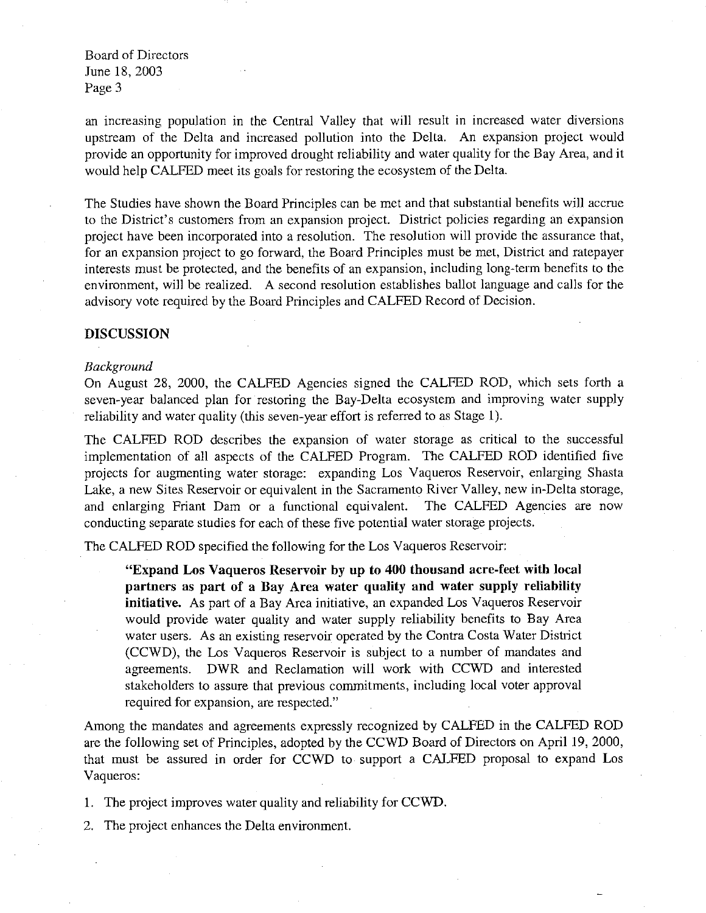an increasing population in the Central Valley that will result in increased water diversions upstream of the Delta and increased pollution into the Delta. An expansion project would provide an opportunity for improved drought reliability and water quality for the Bay Area, and it would help CALFED meet its goals for restoring the ecosystem of the Delta.

The Studies have shown the Board Principles can be met and that substantial benefits will accrue to the District's customers from an expansion project. District policies regarding an expansion project have been incorporated into a resolution. The resolution will provide the assurance that, for an expansion project to go forward, the Board Principles must be met, District and ratepayer interests must be protected, and the benefits of an expansion, including long-term benefits to the environment, will be realized. A second resolution establishes ballot language and calls for the advisory vote required by the Board Principles and CALFED Record of Decision.

### **DISCUSSION**

#### *Background*

On August 28, 2000, the CALFED Agencies signed the CALFED ROD, which sets forth a seven-year balanced plan for restoring the Bay-Delta ecosystem and improving water supply reliability and water quality (this seven-year effort is referred to as Stage 1).

The CALFED ROD describes the expansion of water storage as critical to the successful implementation of all aspects of the CALFED Program. The CALFED ROD identified five projects for augmenting water storage: expanding Los Vaqueros Reservoir, enlarging Shasta Lake, a new Sites Reservoir or equivalent in the Sacramento River Valley, new in-Delta storage, and enlarging Friant Dam or a functional equivalent. The CALFED Agencies are now conducting separate studies for each of these five potential water storage projects.

The CALFED ROD specified the following for the Los Vaqueros Reservoir:

**"Expand Los Vaqueros Reservoir by up to 400 thousand acre-feet with local partners as part of a Bay Area water quality and water supply reliability initiative.** As part of a Bay Area initiative, an expanded Los Vaqueros Reservoir would provide water quality and water supply reliability benefits to Bay Area water users. As an existing reservoir operated by the Contra Costa Water District (CCWD), the Los Vaqueros Reservoir is subject to a number of mandates and agreements. DWR and Reclamation will work with CCWD and interested stakeholders to assure that previous commitments, including local voter approval required for expansion, are respected."

Among the mandates and agreements expressly recognized by CALFED in the CALFED ROD are the following set of Principles, adopted by the CCWD Board of Directors on April 19, 2000, that must be assured in order for CCWD to support a CALFED proposal to expand Los Vaqueros:

1. The project improves water quality and reliability for CCWD.

2. The project enhances the Delta environment.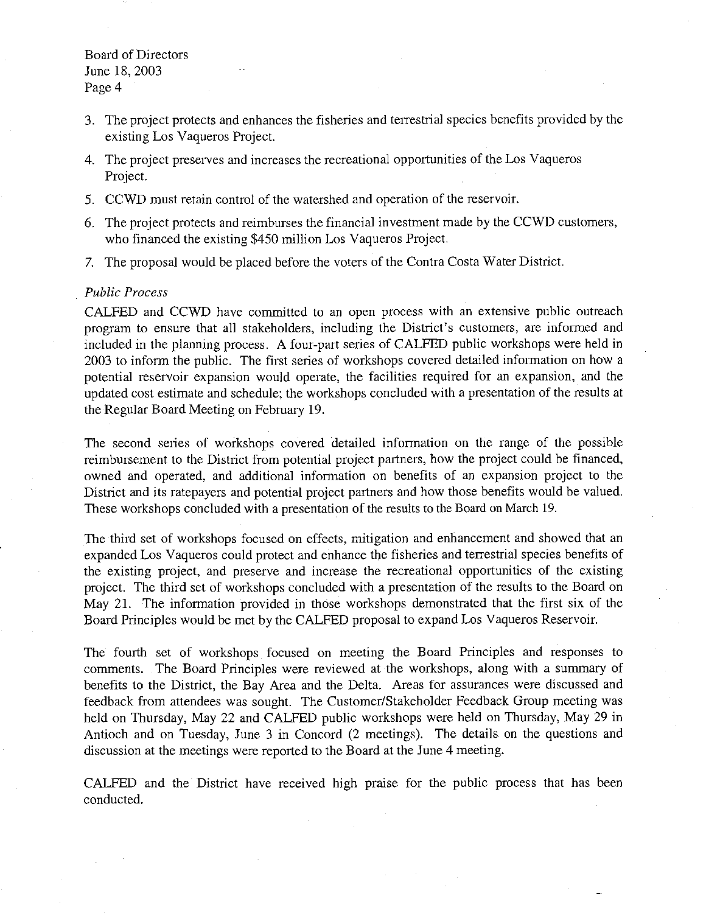- 3. The project protects and enhances the fisheries and terrestrial species benefits provided by the existing Los Vaqueros Project.
- 4. The project preserves and increases the recreational opportunities of the Los Vaqueros Project.
- 5. CCWD must retain control of the watershed and operation of the reservoir.
- 6. The project protects and reimburses the financial investment made by the CCWD customers, who financed the existing \$450 million Los Vaqueros Project.
- 7. The proposal would be placed before the voters of the Contra Costa Water District.

#### *Public Process*

CALFED and CCWD have committed to an open process with an extensive public outreach program to ensure that all stakeholders, including the District's customers, are informed and included in the planning process. A four-part series of CALFED public workshops were held in 2003 to inform the public. The first series of workshops covered detailed information on how a potential reservoir expansion would operate, the facilities required for an expansion, and the updated cost estimate and schedule; the workshops concluded with a presentation of the results at the Regular Board Meeting on February 19.

The second series of workshops covered detailed information on the range of the possible reimbursement to the District from potential project partners, how the project could be financed, owned and operated, and additional information on benefits of an expansion project to the District and its ratepayers and potential project partners and how those benefits would be valued. These workshops concluded with a presentation of the results to the Board on March 19.

The third set of workshops focused on effects, mitigation and enhancement and showed that an expanded Los Vaqueros could protect and enhance the fisheries and terrestrial species benefits of the existing project, and preserve and increase the recreational opportunities of the existing project. The third set of workshops concluded with a presentation of the results to the Board on May 21. The information provided in those workshops demonstrated that the first six of the Board Principles would be met by the CALFED proposal to expand Los Vaqueros Reservoir.

The fourth set of workshops focused on meeting the Board Principles and responses to comments. The Board Principles were reviewed at the workshops, along with a summary of benefits to the District, the Bay Area and the Delta. Areas for assurances were discussed and feedback from attendees was sought. The Customer/Stakeholder Feedback Group meeting was held on Thursday, May 22 and CALFED public workshops were held on Thursday, May 29 in Antioch and on Tuesday, June 3 in Concord (2 meetings). The details on the questions and discussion at the meetings were reported to the Board at the June 4 meeting.

CALFED and the District have received high praise for the public process that has been conducted.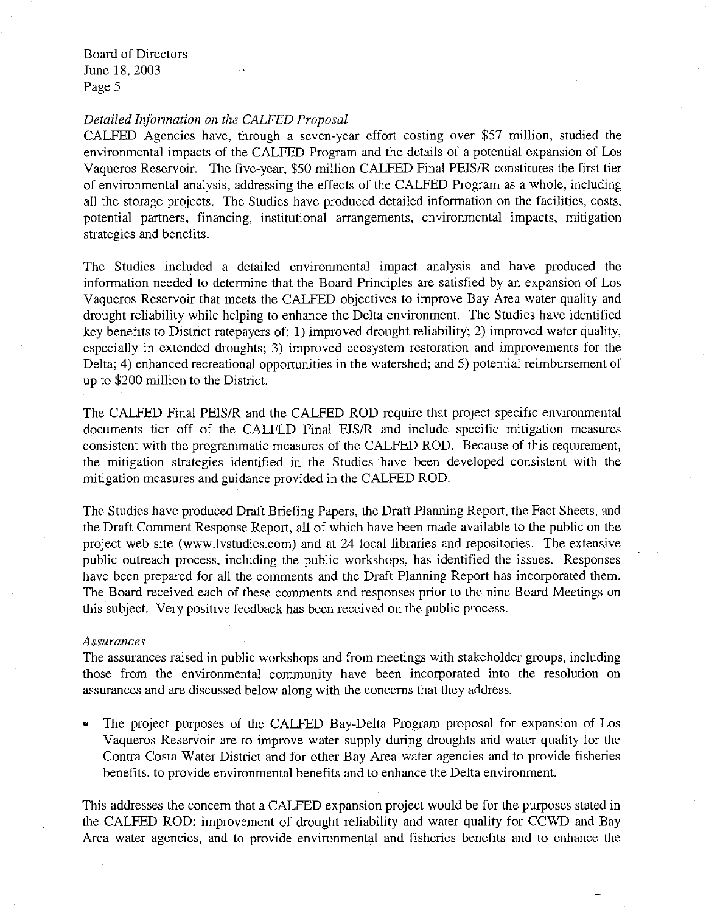#### *Detailed Information on the CALFED Proposal*

CALFED Agencies have, through a seven-year effort costing over \$57 million, studied the environmental impacts of the CALFED Program and the details of a potential expansion of Los Vaqueros Reservoir. The five-year, \$50 million CALFED Final PEIS/R constitutes the first tier of environmental analysis, addressing the effects of the CALFED Program as a whole, including all the storage projects. The Studies have produced detailed information on the facilities, costs, potential partners, financing, institutional arrangements, environmental impacts, mitigation strategies and benefits.

The Studies included a detailed environmental impact analysis and have produced the information needed to determine that the Board Principles are satisfied by an expansion of Los Vaqueros Reservoir that meets the CALFED objectives to improve Bay Area water quality and drought reliability while helping to enhance the Delta environment. The Studies have identified key benefits to District ratepayers of: 1) improved drought reliability; 2) improved water quality, especially in extended droughts; 3) improved ecosystem restoration and improvements for the Delta; 4) enhanced recreational opportunities in the watershed; and 5) potential reimbursement of up to \$200 million to the District.

The CALFED Final PEIS/R and the CALFED ROD require that project specific environmental documents tier off of the CALFED Final EIS/R and include specific mitigation measures consistent with the programmatic measures of the CALFED ROD. Because of this requirement, the mitigation strategies identified in the Studies have been developed consistent with the mitigation measures and guidance provided in the CALFED ROD.

The Studies have produced Draft Briefing Papers, the Draft Planning Report, the Fact Sheets, and the Draft Comment Response Report, all of which have been made available to the public on the project web site (www.lvstudies.com) and at 24 local libraries and repositories. The extensive public outreach process, including the public workshops, has identified the issues. Responses have been prepared for all the comments and the Draft Planning Report has incorporated them. The Board received each of these comments and responses prior to the nine Board Meetings on this subject. Very positive feedback has been received on the public process.

#### *Assurances*

The assurances raised in public workshops and from meetings with stakeholder groups, including those from the environmental community have been incorporated into the resolution on assurances and are discussed below along with the concerns that they address.

• The project purposes of the CALFED Bay-Delta Program proposal for expansion of Los Vaqueros Reservoir are to improve water supply during droughts and water quality for the Contra Costa Water District and for other Bay Area water agencies and to provide fisheries benefits, to provide environmental benefits and to enhance the Delta environment.

This addresses the concern that a CALFED expansion project would be for the purposes stated in the CALFED ROD: improvement of drought reliability and water quality for CCWD and Bay Area water agencies, and to provide environmental and fisheries benefits and to enhance the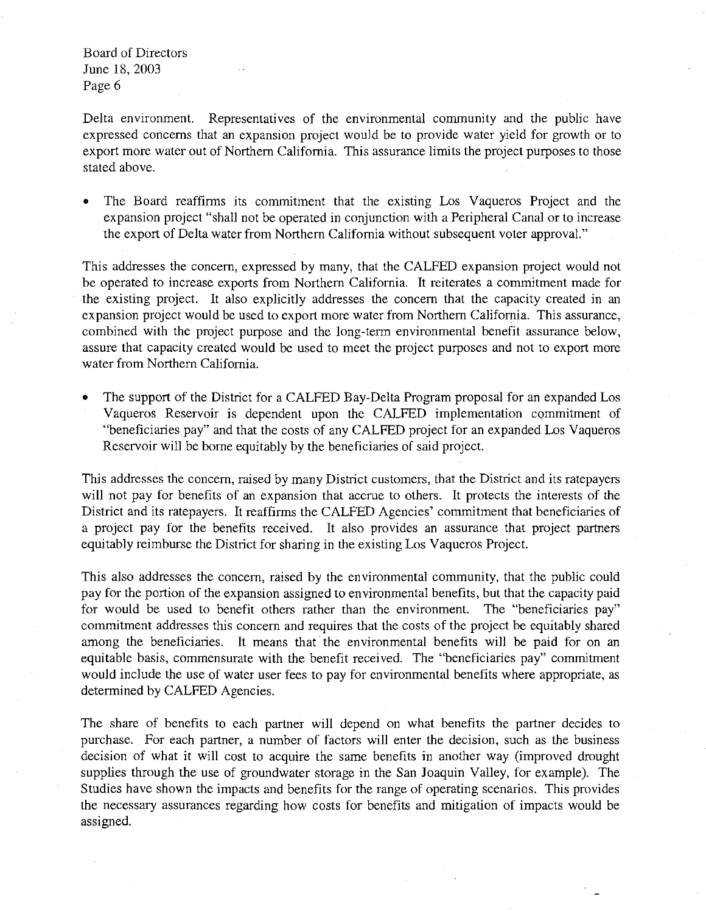Delta environment. Representatives of the environmental community and the public have expressed concerns that an expansion project would be to provide water yield for growth or to export more water out of Northern California. This assurance limits the project purposes to those stated above.

The Board reaffirms its commitment that the existing Los Vaqueros Project and the expansion project "shall not be operated in conjunction with a Peripheral Canal or to increase the export of Delta water from Northern California without subsequent voter approval."

This addresses the concern, expressed by many, that the CALFED expansion project would not be operated to increase exports from Northern California. It reiterates a commitment made for the existing project. It also explicitly addresses the concern that the capacity created in an expansion project would be used to export more water from Northern California. This assurance, combined with the project purpose and the long-term environmental benefit assurance below, assure that capacity created would be used to meet the project purposes and not to export more water from Northern California.

The support of the District for a CALFED Bay-Delta Program proposal for an expanded Los Vaqueros Reservoir is dependent upon the CALFED implementation commitment of "beneficiaries pay" and that the costs of any CALFED project for an expanded Los Vaqueros Reservoir will be borne equitably by the beneficiaries of said project.

This addresses the concern, raised by many District customers, that the District and its ratepayers will not pay for benefits of an expansion that accrue to others. It protects the interests of the District and its ratepayers. It reaffirms the CALFED Agencies' commitment that beneficiaries of a project pay for the benefits received. It also provides an assurance that project partners equitably reimburse the District for sharing in the existing Los Vaqueros Project.

This also addresses the concern, raised by the environmental community, that the public could pay for the portion of the expansion assigned to environmental benefits, but that the capacity paid for would be used to benefit others rather than the environment. The "beneficiaries pay" commitment addresses this concern and requires that the costs of the project be equitably shared among the beneficiaries. It means that the environmental benefits will be paid for on an equitable basis, commensurate with the benefit received. The "beneficiaries pay" commitment would include the use of water user fees to pay for environmental benefits where appropriate, as determined by CALFED Agencies.

The share of benefits to each partner will depend on what benefits the partner decides to purchase. For each partner, a number of factors will enter the decision, such as the business decision of what it will cost to acquire the same benefits in another way (improved drought supplies through the use of groundwater storage in the San Joaquin Valley, for example). The Studies have shown the impacts and benefits for the range of operating scenarios. This provides the necessary assurances regarding how costs for benefits and mitigation of impacts would be assigned.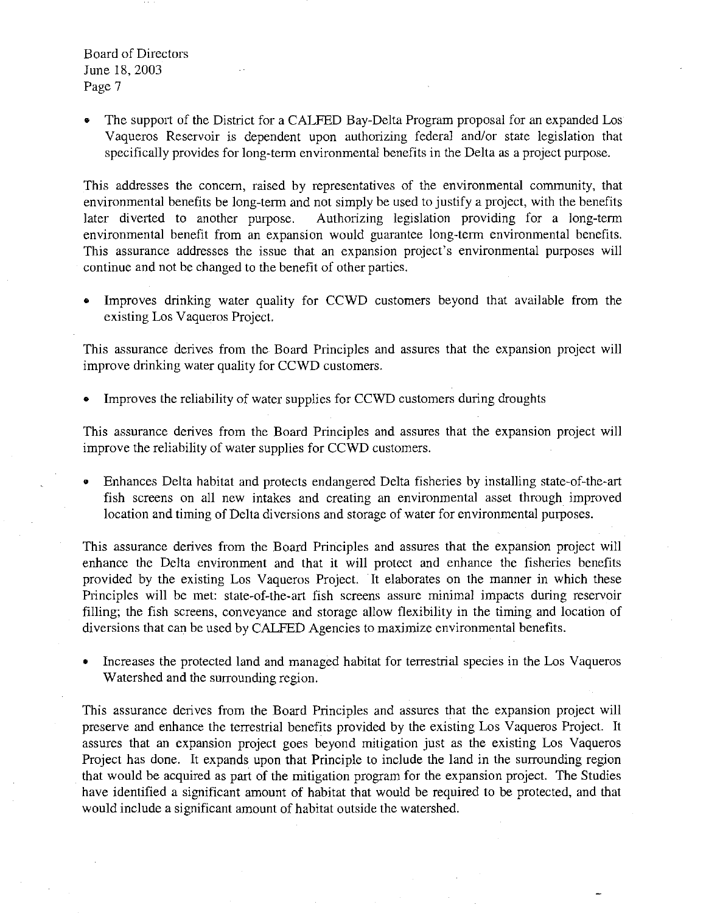The support of the District for a CALFED Bay-Delta Program proposal for an expanded Los Vaqueros Reservoir is dependent upon authorizing federal and/or state legislation that specifically provides for long-term environmental benefits in the Delta as a project purpose.

This addresses the concern, raised by representatives of the environmental community, that environmental benefits be long-term and not simply be used to justify a project, with the benefits later diverted to another purpose. Authorizing legislation providing for a long-term environmental benefit from an expansion would guarantee long-term environmental benefits. This assurance addresses the issue that an expansion project's environmental purposes will continue and not be changed to the benefit of other parties.

Improves drinking water quality for CCWD customers beyond that available from the existing Los Vaqueros Project.

This assurance derives from the Board Principles and assures that the expansion project will improve drinking water quality for CCWD customers.

• Improves the reliability of water supplies for CCWD customers during droughts

This assurance derives from the Board Principles and assures that the expansion project will improve the reliability of water supplies for CCWD customers.

Enhances Delta habitat and protects endangered Delta fisheries by installing state-of-the-art fish screens on all new intakes and creating an environmental asset through improved location and timing of Delta diversions and storage of water for environmental purposes.

This assurance derives from the Board Principles and assures that the expansion project will enhance the Delta environment and that it will protect and enhance the fisheries benefits provided by the existing Los Vaqueros Project. It elaborates on the manner in which these Principles will be met: state-of-the-art fish screens assure minimal impacts during reservoir filling; the fish screens, conveyance and storage allow flexibility in the timing and location of diversions that can be used by CALFED Agencies to maximize environmental benefits.

• Increases the protected land and managed habitat for terrestrial species in the Los Vaqueros Watershed and the surrounding region.

This assurance derives from the Board Principles and assures that the expansion project will preserve and enhance the terrestrial benefits provided by the existing Los Vaqueros Project. It assures that an expansion project goes beyond mitigation just as the existing Los Vaqueros Project has done. It expands upon that Principle to include the land in the surrounding region that would be acquired as part of the mitigation program for the expansion project. The Studies have identified a significant amount of habitat that would be required to be protected, and that would include a significant amount of habitat outside the watershed.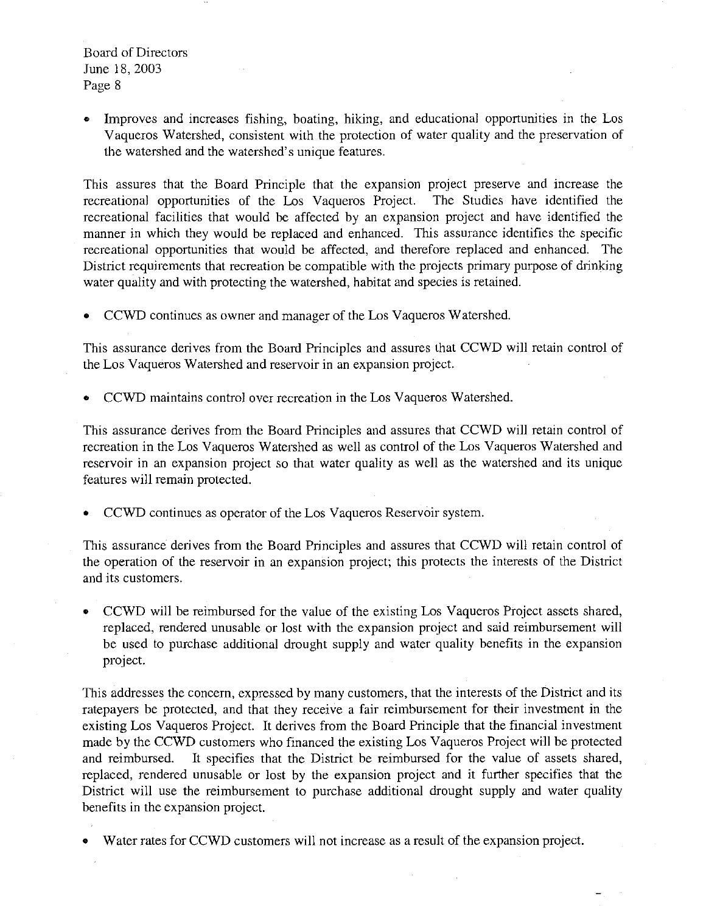• Improves and increases fishing, boating, hiking, and educational opportunities in the Los Vaqueros Watershed, consistent with the protection of water quality and the preservation of the watershed and the watershed's unique features.

This assures that the Board Principle that the expansion project preserve and increase the recreational opportunities of the Los Vaqueros Project. The Studies have identified the recreational facilities that would be affected by an expansion project and have identified the manner in which they would be replaced and enhanced. This assurance identifies the specific recreational opportunities that would be affected, and therefore replaced and enhanced. The District requirements that recreation be compatible with the projects primary purpose of drinking water quality and with protecting the watershed, habitat and species is retained.

• CCWD continues as owner and manager of the Los Vaqueros Watershed.

This assurance derives from the Board Principles and assures that CCWD will retain control of the Los Vaqueros Watershed and reservoir in an expansion project.

• CCWD maintains control over recreation in the Los Vaqueros Watershed.

This assurance derives from the Board Principles and assures that CCWD will retain control of recreation in the Los Vaqueros Watershed as well as control of the Los Vaqueros Watershed and reservoir in an expansion project so that water quality as well as the watershed and its unique features will remain protected.

• CCWD continues as operator of the Los Vaqueros Reservoir system.

This assurance derives from the Board Principles and assures that CCWD will retain control of the operation of the reservoir in an expansion project; this protects the interests of the District and its customers.

• CCWD will be reimbursed for the value of the existing Los Vaqueros Project assets shared, replaced, rendered unusable or lost with the expansion project and said reimbursement will be used to purchase additional drought supply and water quality benefits in the expansion project.

This addresses the concern, expressed by many customers, that the interests of the District and its ratepayers be protected, and that they receive a fair reimbursement for their investment in the existing Los Vaqueros Project. It derives from the Board Principle that the financial investment made by the CCWD customers who financed the existing Los Vaqueros Project will be protected and reimbursed. It specifies that the District be reimbursed for the value of assets shared, replaced, rendered unusable or lost by the expansion project and it further specifies that the District will use the reimbursement to purchase additional drought supply and water quality benefits in the expansion project.

• Water rates for CCWD customers will not increase as a result of the expansion project.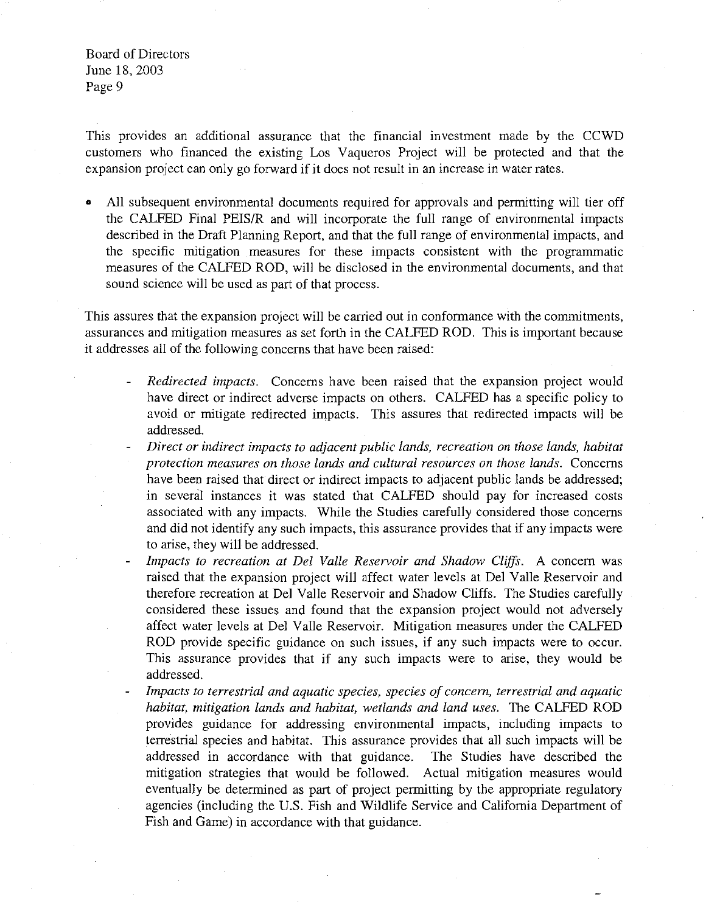This provides an additional assurance that the financial investment made by the CCWD customers who financed the existing Los Vaqueros Project will be protected and that the expansion project can only go forward if it does not result in an increase in water rates.

All subsequent environmental documents required for approvals and permitting will tier off the CAI.FED Final PEIS/R and will incorporate the full range of environmental impacts described in the Draft Planning Report, and that the full range of environmental impacts, and the specific mitigation measures for these impacts consistent with the programmatic measures of the CALFED ROD, will be disclosed in the environmental documents, and that sound science will be used as part of that process.

This assures that the expansion project will be carried out in conformance with the commitments, assurances and mitigation measures as set forth in the CAI.FED ROD. This is important because it addresses all of the following concerns that have been raised:

- $\overline{a}$ *Redirected impacts.* Concerns have been raised that the expansion project would have direct or indirect adverse impacts on others. CALFED has a specific policy to avoid or mitigate redirected impacts. This assures that redirected impacts will be addressed.
- *Direct or indirect impacts to adjacent public lands, recreation on those lands, habitat protection measures on those lands and cultural resources on those lands.* Concerns have been raised that direct or indirect impacts to adjacent public lands be addressed; in several instances it was stated that CALFED should pay for increased costs associated with any impacts. While the Studies carefully considered those concerns and did not identify any such impacts, this assurance provides that if any impacts were to arise, they will be addressed.
- *Impacts to recreation at Del Valle Reservoir and Shadow Cliffs.* A concern was raised that the expansion project will affect water levels at Del Valle Reservoir and therefore recreation at Del Valle Reservoir and Shadow Cliffs. The Studies carefully considered these issues and found that the expansion project would not adversely affect water levels at Del Valle Reservoir. Mitigation measures under the CALFED ROD provide specific guidance on such issues, if any such impacts were to occur. This assurance provides that if any such impacts were to arise, they would be addressed.
- *Impacts to terrestrial and aquatic species, species of concern, terrestrial and aquatic habitat, mitigation lands and habitat, wetlands and land uses.* The CALFED ROD provides guidance for addressing environmental impacts, including impacts to terrestrial species and habitat. This assurance provides that all such impacts will be addressed in accordance with that guidance. The Studies have described the mitigation strategies that would be followed. Actual mitigation measures would eventually be determined as part of project permitting by the appropriate regulatory agencies (including the U.S. Fish and Wildlife Service and California Department of Fish and Game) in accordance with that guidance.